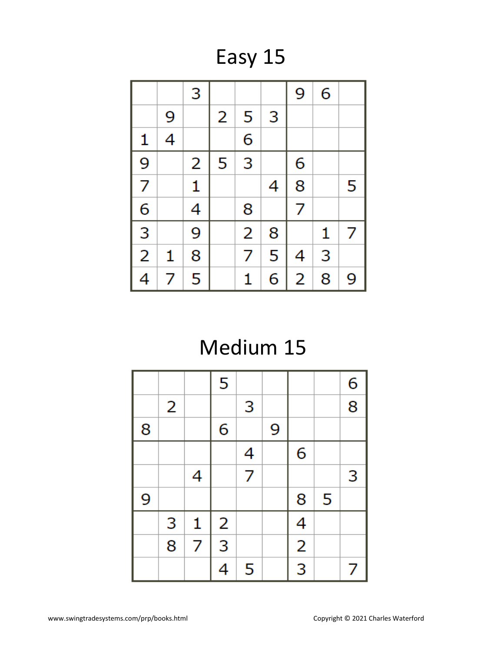Easy 15

|                |   | 3            |   |                |   | 9              | 6 |   |
|----------------|---|--------------|---|----------------|---|----------------|---|---|
|                | 9 |              | 2 | 5              | 3 |                |   |   |
| 1              | 4 |              |   | 6              |   |                |   |   |
| $\overline{9}$ |   | 2            | 5 | 3              |   | 6              |   |   |
| $\overline{7}$ |   | $\mathbf{1}$ |   |                | 4 | 8              |   | 5 |
| $\overline{6}$ |   | 4            |   | 8              |   | $\overline{7}$ |   |   |
| $\frac{1}{3}$  |   | 9            |   | $\overline{2}$ | 8 |                | 1 | 7 |
| $\overline{2}$ | 1 | 8            |   | 7              | 5 | 4              | 3 |   |
| 4              | 7 | 5            |   | 1              | 6 | 2              | 8 | 9 |

## Medium 15

|   |   |                | 5                       |                |   |               |   | 6              |
|---|---|----------------|-------------------------|----------------|---|---------------|---|----------------|
|   | 2 |                |                         | 3              |   |               |   | $\overline{8}$ |
| 8 |   |                | 6                       |                | 9 |               |   |                |
|   |   |                |                         | 4              |   | 6             |   |                |
|   |   | 4              |                         | $\overline{7}$ |   |               |   | 3              |
| 9 |   |                |                         |                |   | 8             | 5 |                |
|   | 3 | 1              | $\overline{\mathbf{c}}$ |                |   |               |   |                |
|   | 8 | $\overline{7}$ | $\overline{3}$          |                |   | $\frac{4}{2}$ |   |                |
|   |   |                | 4                       | 5              |   |               |   | 7              |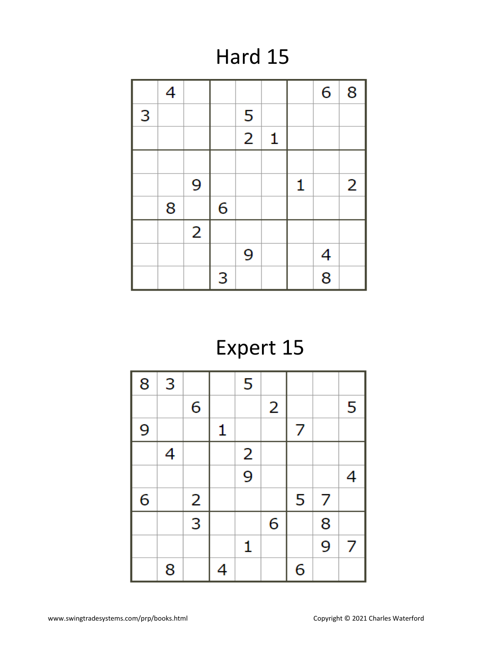### Hard 15

|   | 4 |                |   |                |   |   | 6              | 8 |
|---|---|----------------|---|----------------|---|---|----------------|---|
| 3 |   |                |   | 5              |   |   |                |   |
|   |   |                |   | $\overline{2}$ | 1 |   |                |   |
|   |   |                |   |                |   |   |                |   |
|   |   | 9              |   |                |   | 1 |                | 2 |
|   | 8 |                | 6 |                |   |   |                |   |
|   |   | $\overline{2}$ |   |                |   |   |                |   |
|   |   |                |   | 9              |   |   | 4              |   |
|   |   |                | 3 |                |   |   | $\overline{8}$ |   |

# Expert 15

| 8 | 3 |                         |   | 5             |   |   |   |   |
|---|---|-------------------------|---|---------------|---|---|---|---|
|   |   | 6                       |   |               | 2 |   |   | 5 |
| 9 |   |                         | 1 |               |   | 7 |   |   |
|   | 4 |                         |   |               |   |   |   |   |
|   |   |                         |   | $\frac{2}{9}$ |   |   |   | 4 |
| 6 |   | $\overline{\mathbf{c}}$ |   |               |   | 5 | 7 |   |
|   |   | $\overline{3}$          |   |               | 6 |   | 8 |   |
|   |   |                         |   | 1             |   |   | 9 | 7 |
|   | 8 |                         | 4 |               |   | 6 |   |   |